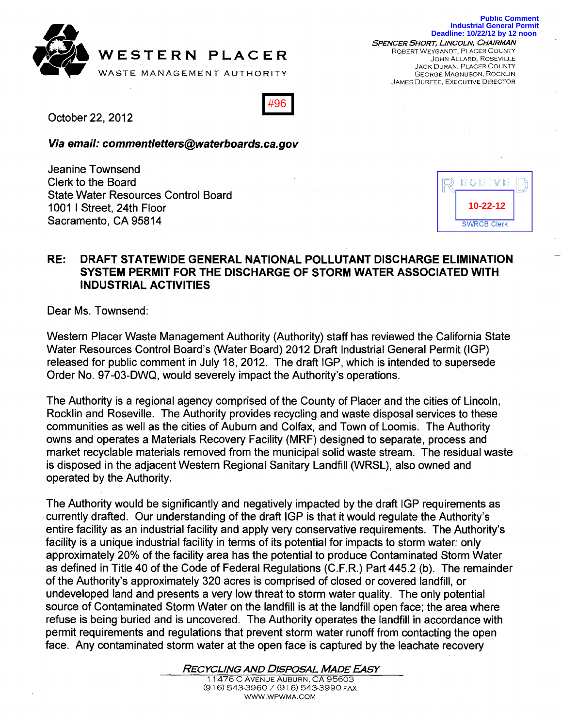

WESTERN PLACER WASTE MANAGEMENT AUTHORITY

SPENCER SHORT, LiNCOLN, CHAIRMAN ROBERT WEYGANDT, PLACER COUNTY JOHN ALLARD, ROSEVILLE JACK DURAN, PLACER COUNTY GEORGE MAGNUSON, ROCKLIN JAMES DURFEE, EXECUTIVE DIRECTOR

|--|

October 22,2012

Via email: commentletters@waterboards.ca.gov

Jeanine Townsend Clerk to the Board State Water Resources Control Board 1001 I Street, 24th Floor Sacramento, CA 95814

| ECEIVE             |  |
|--------------------|--|
| 10-22-12           |  |
| <b>SWRCB Clerk</b> |  |

## RE: DRAFT STATEWIDE GENERAL NATIONAL POLLUTANT DISCHARGE ELIMINATION SYSTEM PERMIT FOR THE DISCHARGE OF STORM WATER ASSOCIATED WITH INDUSTRIAL ACTIVITIES

Dear Ms. Townsend:

Western Placer Waste Management Authority (Authority) staff has reviewed the California State Water Resources Control Board's (Water Board) 2012 Draft Industrial General Permit (IGP) released for public comment in July 18, 2012. The draft IGP, which is intended to supersede Order No. 97 -03-DWQ, would severely impact the Authority's operations.

The Authority is a regional agency comprised of the County of Placer and the cities of Lincoln, Rocklin and Roseville. The Authority provides recycling and waste disposal services to these communities as well as the cities of Auburn and Colfax, and Town of Loomis. The Authority owns and operates a Materials Recovery Facility (MRF) designed to separate, process and market recyclable materials removed from the municipal solid waste stream. The residual waste is disposed in the adjacent Western Regional Sanitary Landfill (WRSL), also owned and operated by the Authority.

The Authority would be significantly and negatively impacted by the draft IGP requirements as currently drafted. Our understanding of the draft IGP is that it would regulate the Authority's entire facility as an industrial facility and apply very conservative requirements. The Authority's facility is a unique industrial facility in terms of its potential for impacts to storm water: only approximately 20% of the facility area has the potential to produce Contaminated Storm Water as defined in Title 40 of the Code of Federal Regulations (C.F.R.) Part 445.2 (b). The remainder of the Authority's approximately 320 acres is comprised of closed or covered landfill, or undeveloped land and presents a very low threat to storm water quality. The only potential source of Contaminated Storm Water on the landfill is at the landfill open face; the area where refuse is being buried and is uncovered. The Authority operates the landfill in accordance with permit requirements and regulations that prevent storm water runoff from contacting the open face. Any contaminated storm water at the open face is captured by the leachate recovery

RECYCLING AND DISPOSAL MADE *EAsY*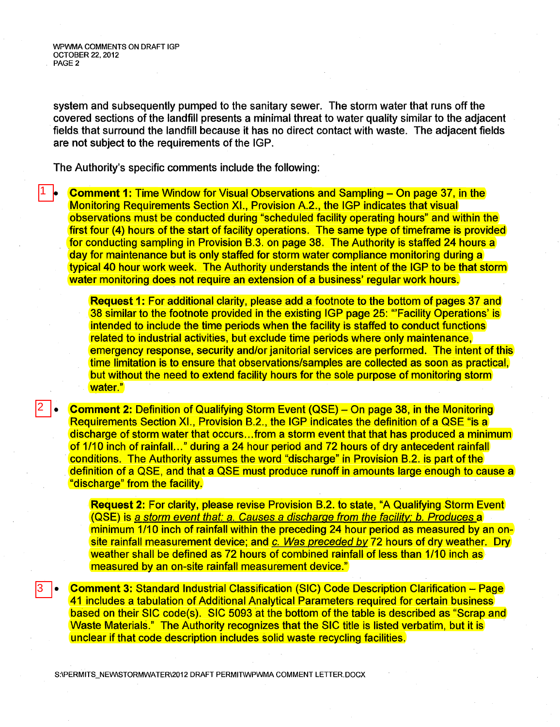WPWMA COMMENTS ON DRAFT IGP OCTOBER 22, 2012 PAGE 2

2

3

system and subsequently pumped to the sanitary sewer. The storm water that runs off the covered sections of the landfill presents a minimal threat to water quality similar to the adjacent fields that surround the landfill because it has no direct contact with waste. The adjacent fields are not subject to the requirements of the IGP.

The Authority's specific comments include the following:

**Comment 1: Time Window for Visual Observations and Sampling – On page 37, in the** Monitoring Requirements Section XI., Provision A.2., the IGP indicates that visual observations must be conducted during "scheduled facility operating hours" and within the first four (4) hours of the start of facility operations. The same type of timeframe is provided for conducting sampling in Provision B.3. on page 38. The Authority is staffed 24 hours a day for maintenance but is only staffed for storm water compliance monitoring during a typical 40 hour work week. The Authority understands the intent of the IGP to be that storm water monitoring does not require an extension of a business' regular work hours. |1 |<sub>|</sub>

> **Request 1:** For additional clarity, please add a footnote to the bottom of pages 37 and 38 similar to the footnote provided in the existing IGP page 25: "Facility Operations' is intended to include the time periods when the facility is staffed to conduct functions related to industrial activities, but exclude time periods where only maintenance, emergency response, security and/or janitorial services are performed. The intent of this time limitation is to ensure that observations/samples are collected as soon as practical, but without the need to extend facility hours for the sole purpose of monitoring storm water."

**• Comment** 2: Definition of Qualifying Storm Event (QSE) - On page 38, in the Monitoring Requirements Section XI., Provision B.2., the IGP indicates the definition of a QSE "is a discharge of storm water that occurs ... from a storm event that that has produced a minimum of 1/10 inch of rainfall..." during a 24 hour period and 72 hours of dry antecedent rainfall conditions. The Authority assumes the word "discharge" in Provision B.2. is part of the definition of a QSE, and that a QSE must produce runoff in amounts large enough to cause a "discharge" from the facility.

**Request** 2: For clarity, please revise Provision B.2. to state, "A Qualifying Storm Event (QSE) is a storm event that: a. Causes a discharge from the facilitv; b. Produces a minimum 1/10 inch of rainfall within the preceding 24 hour period as measured by an onsite rainfall measurement device; and c. Was preceded by 72 hours of dry weather. Dry weather shall be defined as 72 hours of combined rainfall of less than 1/10 inch as measured by an on-site rainfall measurement device."

**• Comment** 3: Standard Industrial Classification (SIC) Code Description Clarification - Page 41 includes a tabulation of Additional Analytical Parameters required for certain business based on their SIC code(s). SIC 5093 at the bottom of the table is described as "Scrap and Waste Materials." The Authority recognizes that the SIC title is listed verbatim, but it is unclear if that code description includes solid waste recycling facilities.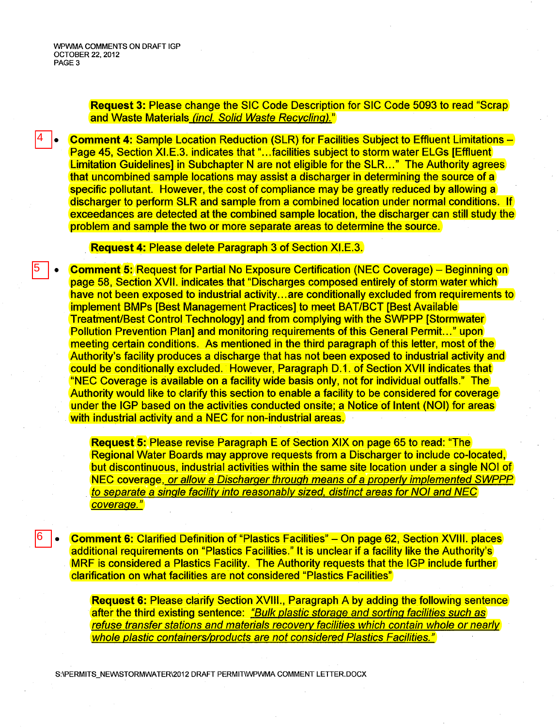4

5

6

Request 3: Please change the SIC Code Description for SIC Code 5093 to read "Scrap and Waste Materials (incl. Solid Waste Recycling)."

**Comment 4: Sample Location Reduction (SLR) for Facilities Subject to Effluent Limitations -**Page 45, Section XI.E.3. indicates that "...facilities subject to storm water ELGs [Effluent] Limitation Guidelines] in Subchapter N are not eligible for the SLR..." The Authority agrees that uncombined sample locations may assist a discharger in determining the source of a specific pollutant. However, the cost of compliance may be greatly reduced by allowing a discharger to perform SLR and sample from a combined location under normal conditions. If exceedances are detected at the combined sample location, the discharger can still study the problem and sample the two or more separate areas to determine the source .

Request 4: Please delete Paragraph 3 of Section XI.E.3.

• Comment 5: Request for Partial No Exposure Certification (NEC Coverage) - Beginning on page 58, Section XVII. indicates that "Discharges composed entirely of storm water which have not been exposed to industrial activity... are conditionally excluded from requirements to implement BMPs [Best Management Practices] to meet BAT/BCT [Best Available Treatment/Best Control Technology] and from complying with the SWPPP [Stormwater Pollution Prevention Plan] and monitoring requirements of this General Permit..." upon meeting certain conditions. As mentioned in the third paragraph of this letter, most of the Authority's facility produces a discharge that has not been exposed to industrial activity and could be conditionally excluded. However, Paragraph 0.1. of Section XVII indicates that "NEC Coverage is available on a facility wide basis only, not for individual outfalls." The Authority would like to clarify this section to enable a facility to be considered for coverage under the IGP based on the activities conducted onsite; a Notice of Intent (NOI) for areas with industrial activity and a NEC for non-industrial areas.

Request 5: Please revise Paragraph Eof Section XIX on page 65 to read: "The Regional Water Boards may approve requests from a Discharger to include co-located, but discontinuous, industrial activities within the same site location under a single NOI of NEC coverage, or allow a Discharger through means of a properly implemented SWPPP to separate a single facility into reasonably sized, distinct areas for NOI and NEG coverage."

• Comment 6: Clarified Definition of "Plastics Facilities" - On page 62, Section XVIII. places additional requirements on "Plastics Facilities." It is unclear if a facility like the Authority's MRF is considered a Plastics Facility. The Authority requests that the IGP include further clarification on what facilities are not considered "Plastics Facilities"

Request 6: Please clarify Section XVIII., Paragraph A by adding the following sentence after the third existing sentence: "Bulk plastic storage and sorting facilities such as refuse transfer stations and materials recovery facilities which contain whole or nearly whole plastic containers/products are not considered Plastics Facilities."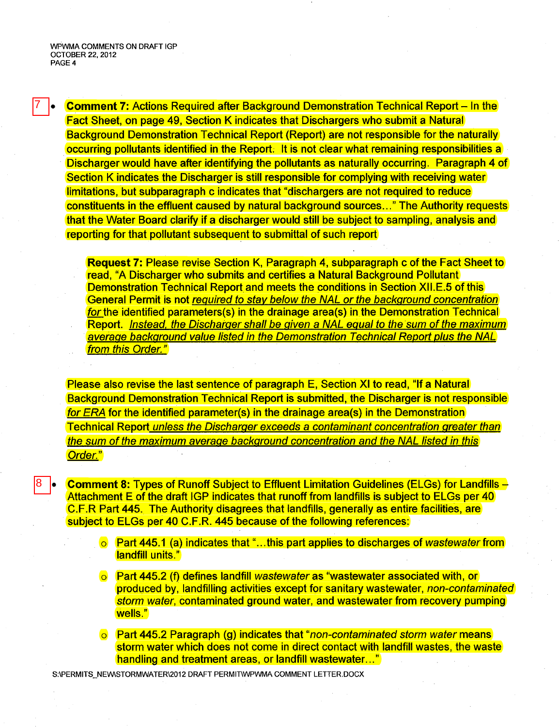wPWMA COMMENTS ON DRAFT IGP OCTOBER 22, 2012 PAGE 4

7

8

**Comment 7:** Actions Required after Background Demonstration Technical Report – In the Fact Sheet, on page 49, Section K indicates that Dischargers who submit a Natural Background Demonstration Technical Report (Report) are not responsible for the naturally occurring pollutants identified in the Report; It is not clear what remaining responsibilities a Discharger would have after identifying the pollutants as naturally occurring. Paragraph 4 of Section K indicates the Discharger is still responsible for complying with receiving water limitations, but subparagraph c indicates that "dischargers are not required to reduce constituents in the effluent caused by natural background sources ... " The Authority requests that the Water Board clarify if a discharger would still be subject to sampling, analysis and reporting for that pollutant subsequent to submittal of such report

Request 7: Please revise Section K, Paragraph 4, subparagraph c of the Fact Sheet to read, "A Discharger who submits and certifies a Natural Background Pollutant Demonstration Technical Report and meets the conditions in Section XII.E.5 of this General Permit is not required to stay below the NAL or the background concentration for the identified parameters(s) in the drainage area(s) in the Demonstration Technical Report. Instead, the Discharger shall be given a NAL equal to the sum of the maximum average background value listed in the Demonstration Technical Report plus the NAL from this Order."

Please also revise the last sentence of paragraph E, Section XI to read, "If a Natural Background Demonstration Technical Report is submitted, the Discharger is not responsible for ERA for the identified parameter(s) in the drainage area(s) in the Demonstration Technical Report unless the Discharger exceeds a contaminant concentration greater than the sum of the maximum average background concentration and the NAL listed in this Order."

**Comment 8:** Types of Runoff Subject to Effluent Limitation Guidelines (ELGs) for Landfills  $\rightarrow$ Attachment E of the draft IGP indicates that runoff from landfills is subject to ELGs per 40 C.F.R Part 445. The Authority disagrees that landfills, generally as entire facilities, are subject to ELGs per 40 C.F.R. 445 because of the following references:

- o Part 445.1 (a) indicates that "...this part applies to discharges of wastewater from landfill units."
- $\circ$  Part 445.2 (f) defines landfill wastewater as "wastewater associated with, or produced by, landfilling activities except for sanitary wastewater, non-contaminated storm water, contaminated ground water, and wastewater from recovery pumping wells."
- o Part 445.2 Paragraph (g) indicates that "non-contaminated storm water means storm water which does not come in direct contact with landfill wastes, the waste handling and treatment areas, or landfill wastewater..."